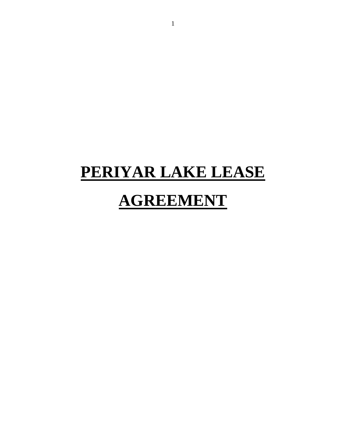## **PERIYAR LAKE LEASE AGREEMENT**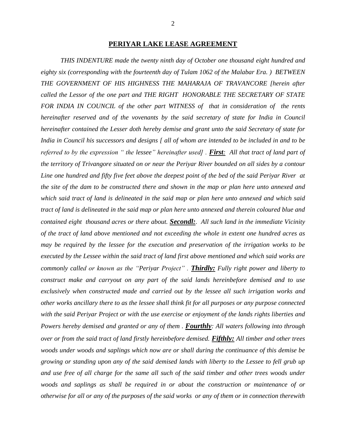*THIS INDENTURE made the twenty ninth day of October one thousand eight hundred and eighty six (corresponding with the fourteenth day of Tulam 1062 of the Malabar Era. ) BETWEEN THE GOVERNMENT OF HIS HIGHNESS THE MAHARAJA OF TRAVANCORE [herein after called the Lessor of the one part and THE RIGHT HONORABLE THE SECRETARY OF STATE FOR INDIA IN COUNCIL of the other part WITNESS of that in consideration of the rents hereinafter reserved and of the vovenants by the said secretary of state for India in Council hereinafter contained the Lesser doth hereby demise and grant unto the said Secretary of state for India in Council his successors and designs [ all of whom are intended to be included in and to be referred to by the expression* " the lessee" hereinafter used] . *First*: All that tract of land part of *the territory of Trivangore situated on or near the Periyar River bounded on all sides by a contour Line one hundred and fifty five feet above the deepest point of the bed of the said Periyar River at the site of the dam to be constructed there and shown in the map or plan here unto annexed and which said tract of land is delineated in the said map or plan here unto annexed and which said tract of land is delineated in the said map or plan here unto annexed and therein coloured blue and contained eight thousand acres or there about. Secondl:. All such land in the immediate Vicinity of the tract of land above mentioned and not exceeding the whole in extent one hundred acres as may be required by the lessee for the execution and preservation of the irrigation works to be executed by the Lessee within the said tract of land first above mentioned and which said works are commonly called or known as the "Periyar Project" . Thirdly: Fully right power and liberty to construct make and carryout on any part of the said lands hereinbefore demised and to use exclusively when constructed made and carried out by the lessee all such irrigation works and other works ancillary there to as the lessee shall think fit for all purposes or any purpose connected with the said Periyar Project or with the use exercise or enjoyment of the lands rights liberties and Powers hereby demised and granted or any of them . Fourthly: All waters following into through over or from the said tract of land firstly hereinbefore demised. Fifthly: All timber and other trees woods under woods and saplings which now are or shall during the continuance of this demise be growing or standing upon any of the said demised lands with liberty to the Lessee to fell grub up and use free of all charge for the same all such of the said timber and other trees woods under woods and saplings as shall be required in or about the construction or maintenance of or otherwise for all or any of the purposes of the said works or any of them or in connection therewith*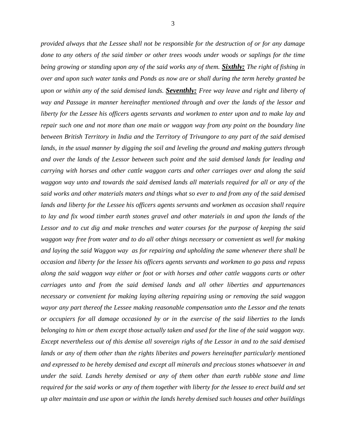*provided always that the Lessee shall not be responsible for the destruction of or for any damage done to any others of the said timber or other trees woods under woods or saplings for the time being growing or standing upon any of the said works any of them. Sixthly: The right of fishing in over and upon such water tanks and Ponds as now are or shall during the term hereby granted be upon or within any of the said demised lands. Seventhly: Free way leave and right and liberty of way and Passage in manner hereinafter mentioned through and over the lands of the lessor and liberty for the Lessee his officers agents servants and workmen to enter upon and to make lay and repair such one and not more than one main or waggon way from any point on the boundary line between British Territory in India and the Territory of Trivangore to any part of the said demised lands, in the usual manner by digging the soil and leveling the ground and making gutters through and over the lands of the Lessor between such point and the said demised lands for leading and carrying with horses and other cattle waggon carts and other carriages over and along the said waggon way unto and towards the said demised lands all materials required for all or any of the said works and other materials maters and things what so ever to and from any of the said demised lands and liberty for the Lessee his officers agents servants and workmen as occasion shall require to lay and fix wood timber earth stones gravel and other materials in and upon the lands of the Lessor and to cut dig and make trenches and water courses for the purpose of keeping the said waggon way free from water and to do all other things necessary or convenient as well for making and laying the said Waggon way as for repairing and upholding the same whenever there shall be occasion and liberty for the lessee his officers agents servants and workmen to go pass and repass along the said waggon way either or foot or with horses and other cattle waggons carts or other carriages unto and from the said demised lands and all other liberties and appurtenances necessary or convenient for making laying altering repairing using or removing the said waggon wayor any part thereof the Lessee making reasonable compensation unto the Lessor and the tenats or occupiers for all damage occasioned by or in the exercise of the said liberties to the lands belonging to him or them except those actually taken and used for the line of the said waggon way. Except nevertheless out of this demise all sovereign righs of the Lessor in and to the said demised lands or any of them other than the rights liberites and powers hereinafter particularly mentioned and expressed to be hereby demised and except all minerals and precious stones whatsoever in and under the said. Lands hereby demised or any of them other than earth rubble stone and lime required for the said works or any of them together with liberty for the lessee to erect build and set up alter maintain and use upon or within the lands hereby demised such houses and other buildings*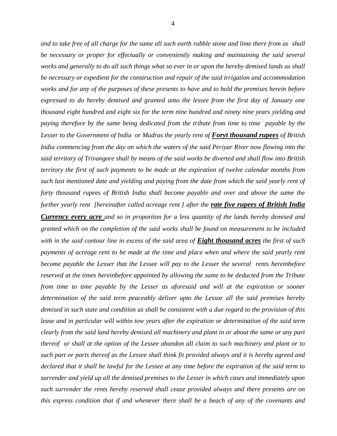*and to take free of all charge for the same all such earth rubble stone and lime there from as shall be necessary or proper for effectually or conveniently making and maintaining the said several works and generally to do all such things what so ever in or upon the hereby demised lands as shall be necessary or expedient for the construction and repair of the said irrigation and accommodation works and for any of the purposes of these presents to have and to hold the premises herein before expressed to do hereby demised and granted unto the lessee from the first day of January one thousand eight hundred and eight six for the term nine hundred and ninety nine years yielding and paying therefore by the same being dedicated from the tribute from time to time payable by the Lesser to the Government of India or Madras the yearly rent of Foryt thousand rupees of British India commencing from the day on which the waters of the said Periyar River now flowing into the said territory of Trivangore shall by means of the said works be diverted and shall flow into British territory the first of such payments to be made at the expiration of twelve calendar months from such last mentioned date and yielding and paying from the date from which the said yearly rent of forty thousand rupees of British India shall become payable and over and above the same the further yearly rent [hereinafter called acreage rent ] after the rate five rupees of British India* 

*Currency every acre and so in proportion for a less quantity of the lands hereby demised and granted which on the completion of the said works shall be found on measurement to be included with in the said contour line in excess of the said area of Eight thousand acres the first of such payments of acreage rent to be made at the time and place when and where the said yearly rent become payable the Lesser that the Lessee will pay to the Lesser the several rents hereinbefore reserved at the times hereinbefore appointed by allowing the same to be deducted from the Tribute from time to time payable by the Lesser as aforesaid and will at the expiration or sooner determination of the said term peaceably deliver upto the Lessor all the said premises hereby demised in such state and condition as shall be consistent with a due regard to the provision of this lease and in particular will within tow years after the expiration or determination of the said term clearly from the said land hereby demised all machinery and plant in or about the same or any part thereof or shall at the option of the Lessee abandon all claim to such machinery and plant or to such part or parts thereof as the Lessee shall think fit provided always and it is hereby agreed and declared that it shall be lawful for the Lessee at any time before the expiration of the said term to surrender and yield up all the demised premises to the Lesser in which cases and immediately upon such surrender the rents hereby reserved shall cease provided always and there presents are on this express condition that if and whenever there shall be a beach of any of the covenants and*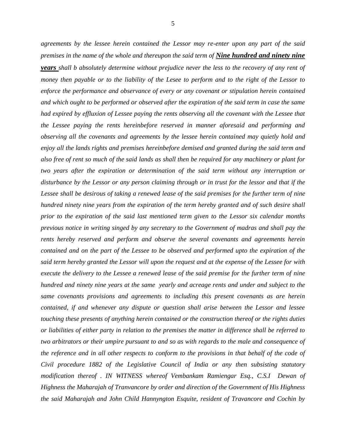*agreements by the lessee herein contained the Lessor may re-enter upon any part of the said premises in the name of the whole and thereupon the said term of Nine hundred and ninety nine years shall b absolutely determine without prejudice never the less to the recovery of any rent of money then payable or to the liability of the Lesee to perform and to the right of the Lessor to enforce the performance and observance of every or any covenant or stipulation herein contained and which ought to be performed or observed after the expiration of the said term in case the same had expired by effluxion of Lessee paying the rents observing all the covenant with the Lessee that the Lessee paying the rents hereinbefore reserved in manner aforesaid and performing and observing all the covenants and agreements by the lessee herein contained may quietly hold and enjoy all the lands rights and premises hereinbefore demised and granted during the said term and also free of rent so much of the said lands as shall then be required for any machinery or plant for two years after the expiration or determination of the said term without any interruption or disturbance by the Lessor or any person claiming through or in trust for the lessor and that if the Lessee shall be desirous of taking a renewed lease of the said premises for the further term of nine hundred ninety nine years from the expiration of the term hereby granted and of such desire shall prior to the expiration of the said last mentioned term given to the Lessor six calendar months previous notice in writing singed by any secretary to the Government of madras and shall pay the rents hereby reserved and perform and observe the several covenants and agreements herein contained and on the part of the Lessee to be observed and performed upto the expiration of the said term hereby granted the Lessor will upon the request and at the expense of the Lessee for with execute the delivery to the Lessee a renewed lease of the said premise for the further term of nine hundred and ninety nine years at the same yearly and acreage rents and under and subject to the same covenants provisions and agreements to including this present covenants as are herein contained, if and whenever any dispute or question shall arise between the Lessor and lessee touching these presents of anything herein contained or the construction thereof or the rights duties or liabilities of either party in relation to the premises the matter in difference shall be referred to two arbitrators or their umpire pursuant to and so as with regards to the male and consequence of the reference and in all other respects to conform to the provisions in that behalf of the code of Civil procedure 1882 of the Legislative Council of India or any then subsisting statutory modification thereof . IN WITNESS whereof Vembankam Ramiengar Esq., C.S.I Dewan of Highness the Maharajah of Tranvancore by order and direction of the Government of His Highness the said Maharajah and John Child Hannyngton Esquite, resident of Travancore and Cochin by*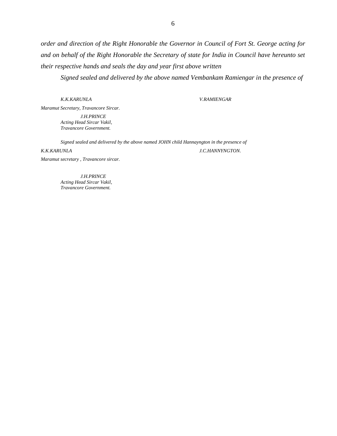*order and direction of the Right Honorable the Governor in Council of Fort St. George acting for and on behalf of the Right Honorable the Secretary of state for India in Council have hereunto set their respective hands and seals the day and year first above written* 

*Signed sealed and delivered by the above named Vembankam Ramiengar in the presence of* 

*K.K.KARUNLA V.RAMIENGAR*

*Maramut Secretary, Travancore Sircar. J.H.PRINCE Acting Head Sircar Vakil, Travancore Government.*

*Signed sealed and delivered by the above named JOHN child Hannayngton in the presence of* 

*K.K.KARUNLA J.C.HANNYNGTON.*

*J.H.PRINCE Acting Head Sircar Vakil, Travancore Government.*

*Maramut secretary , Travancore sircar.*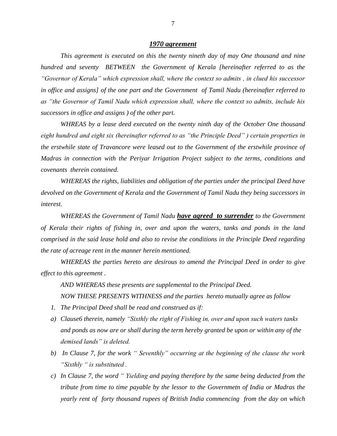## *1970 agreement*

*This agreement is executed on this the twenty nineth day of may One thousand and nine hundred and seventy BETWEEN the Government of Kerala [hereinafter referred to as the "Governor of Kerala" which expression shall, where the context so admits , in clued his successor in office and assigns] of the one part and the Government of Tamil Nadu (hereinafter referred to as "the Governor of Tamil Nadu which expression shall, where the context so admits, include his successors in office and assigns ) of the other part.*

*WHREAS by a lease deed executed on the twenty ninth day of the October One thousand eight hundred and eight six (hereinafter referred to as "the Principle Deed" ) certain properties in the erstwhile state of Travancore were leased out to the Government of the erstwhile province of Madras in connection with the Periyar Irrigation Project subject to the terms, conditions and covenants therein contained.*

*WHEREAS the rights, liabilities and obligation of the parties under the principal Deed have devolved on the Government of Kerala and the Government of Tamil Nadu they being successors in interest.*

*WHEREAS the Government of Tamil Nadu have agreed to surrender to the Government of Kerala their rights of fishing in, over and upon the waters, tanks and ponds in the land comprised in the said lease hold and also to revise the conditions in the Principle Deed regarding the rate of acreage rent in the manner herein mentioned.* 

*WHEREAS the parties hereto are desirous to amend the Principal Deed in order to give effect to this agreement .*

*AND WHEREAS these presents are supplemental to the Principal Deed. NOW THESE PRESENTS WITHNESS and the parties hereto mutually agree as follow*

- *1. The Principal Deed shall be read and construed as if:*
- *a) Clause6 therein, namely "Sixthly the right of Fishing in, over and upon such waters tanks and ponds as now are or shall during the term hereby granted be upon or within any of the demised lands" is deleted.*
- *b) In Clause 7, for the work " Seventhly" occurring at the beginning of the clause the work "Sixthly " is substituted .*
- *c) In Clause 7, the word " Yielding and paying therefore by the same being deducted from the tribute from time to time payable by the lessor to the Governmetn of India or Madras the yearly rent of forty thousand rupees of British India commencing from the day on which*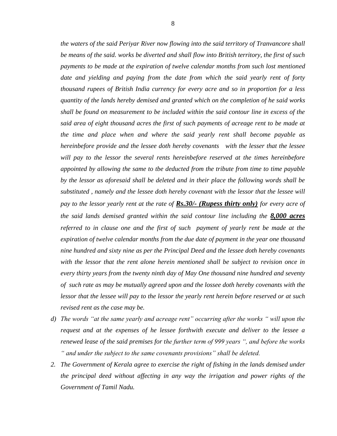*the waters of the said Periyar River now flowing into the said territory of Tranvancore shall be means of the said. works be diverted and shall flow into British territory, the first of such payments to be made at the expiration of twelve calendar months from such lost mentioned*  date and yielding and paying from the date from which the said yearly rent of forty *thousand rupees of British India currency for every acre and so in proportion for a less quantity of the lands hereby demised and granted which on the completion of he said works shall be found on measurement to be included within the said contour line in excess of the said area of eight thousand acres the first of such payments of acreage rent to be made at the time and place when and where the said yearly rent shall become payable as hereinbefore provide and the lessee doth hereby covenants with the lesser that the lessee will pay to the lessor the several rents hereinbefore reserved at the times hereinbefore appointed by allowing the same to tbe deducted from the tribute from time to time payable by the lessor as aforesaid shall be deleted and in their place the following words shall be substituted , namely and the lessee doth hereby covenant with the lessor that the lessee will pay to the lessor yearly rent at the rate of Rs.30/- (Rupess thirty only) for every acre of the said lands demised granted within the said contour line including the 8,000 acres referred to in clause one and the first of such payment of yearly rent be made at the expiration of twelve calendar months from the due date of payment in the year one thousand nine hundred and sixty nine as per the Principal Deed and the lessee doth hereby covenants with the lessor that the rent alone herein mentioned shall be subject to revision once in every thirty years from the twenty ninth day of May One thousand nine hundred and seventy of such rate as may be mutually agreed upon and the lossee doth hereby covenants with the lessor that the lessee will pay to the lessor the yearly rent herein before reserved or at such revised rent as the case may be.*

- *d) The words "at the same yearly and acreage rent" occurring after the works " will upon the request and at the expenses of he lessee forthwith execute and deliver to the lessee a renewed lease of the said premises for the further term of 999 years ", and before the works " and under the subject to the same covenants provisions" shall be deleted.*
- *2. The Government of Kerala agree to exercise the right of fishing in the lands demised under the principal deed without affecting in any way the irrigation and power rights of the Government of Tamil Nadu.*